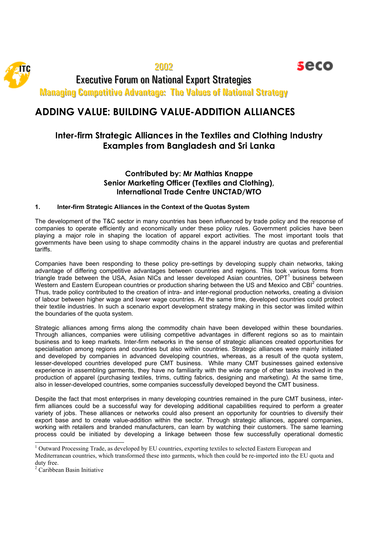2002 Executive Forum on National Export Strategies **Managing Competitive Advantage: The Values of National Strategy** 

# **ADDING VALUE: BUILDING VALUE-ADDITION ALLIANCES**

## **Inter-firm Strategic Alliances in the Textiles and Clothing Industry Examples from Bangladesh and Sri Lanka**

seco

### **Contributed by: Mr Mathias Knappe Senior Marketing Officer (Textiles and Clothing), International Trade Centre UNCTAD/WTO**

#### **1. Inter-firm Strategic Alliances in the Context of the Quotas System**

The development of the T&C sector in many countries has been influenced by trade policy and the response of companies to operate efficiently and economically under these policy rules. Government policies have been playing a major role in shaping the location of apparel export activities. The most important tools that governments have been using to shape commodity chains in the apparel industry are quotas and preferential tariffs.

Companies have been responding to these policy pre-settings by developing supply chain networks, taking advantage of differing competitive advantages between countries and regions. This took various forms from triangle trade between the USA, Asian NICs and lesser developed Asian countries, OPT<sup>1</sup> business between Western and Eastern European countries or production sharing between the US and Mexico and CBI<sup>2</sup> countries. Thus, trade policy contributed to the creation of intra- and inter-regional production networks, creating a division of labour between higher wage and lower wage countries. At the same time, developed countries could protect their textile industries. In such a scenario export development strategy making in this sector was limited within the boundaries of the quota system.

Strategic alliances among firms along the commodity chain have been developed within these boundaries. Through alliances, companies were utilising competitive advantages in different regions so as to maintain business and to keep markets. Inter-firm networks in the sense of strategic alliances created opportunities for specialisation among regions and countries but also within countries. Strategic alliances were mainly initiated and developed by companies in advanced developing countries, whereas, as a result of the quota system, lesser-developed countries developed pure CMT business. While many CMT businesses gained extensive experience in assembling garments, they have no familiarity with the wide range of other tasks involved in the production of apparel (purchasing textiles, trims, cutting fabrics, designing and marketing). At the same time, also in lesser-developed countries, some companies successfully developed beyond the CMT business.

Despite the fact that most enterprises in many developing countries remained in the pure CMT business, interfirm alliances could be a successful way for developing additional capabilities required to perform a greater variety of jobs. These alliances or networks could also present an opportunity for countries to diversify their export base and to create value-addition within the sector. Through strategic alliances, apparel companies, working with retailers and branded manufacturers, can learn by watching their customers. The same learning process could be initiated by developing a linkage between those few successfully operational domestic

l

<sup>&</sup>lt;sup>1</sup> Outward Processing Trade, as developed by EU countries, exporting textiles to selected Eastern European and

Mediterranean countries, which transformed these into garments, which then could be re-imported into the EU quota and duty free.

<sup>2</sup> Caribbean Basin Initiative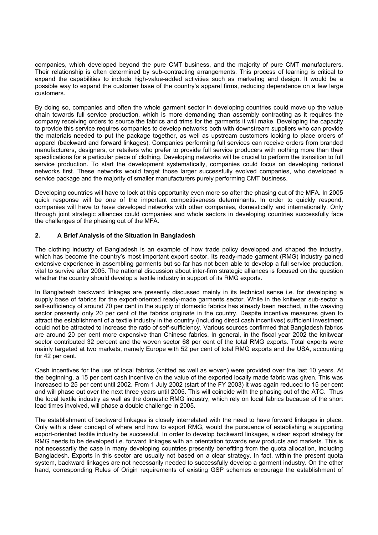companies, which developed beyond the pure CMT business, and the majority of pure CMT manufacturers. Their relationship is often determined by sub-contracting arrangements. This process of learning is critical to expand the capabilities to include high-value-added activities such as marketing and design. It would be a possible way to expand the customer base of the country's apparel firms, reducing dependence on a few large customers.

By doing so, companies and often the whole garment sector in developing countries could move up the value chain towards full service production, which is more demanding than assembly contracting as it requires the company receiving orders to source the fabrics and trims for the garments it will make. Developing the capacity to provide this service requires companies to develop networks both with downstream suppliers who can provide the materials needed to put the package together, as well as upstream customers looking to place orders of apparel (backward and forward linkages). Companies performing full services can receive orders from branded manufacturers, designers, or retailers who prefer to provide full service producers with nothing more than their specifications for a particular piece of clothing. Developing networks will be crucial to perform the transition to full service production. To start the development systematically, companies could focus on developing national networks first. These networks would target those larger successfully evolved companies, who developed a service package and the majority of smaller manufacturers purely performing CMT business.

Developing countries will have to lock at this opportunity even more so after the phasing out of the MFA. In 2005 quick response will be one of the important competitiveness determinants. In order to quickly respond, companies will have to have developed networks with other companies, domestically and internationally. Only through joint strategic alliances could companies and whole sectors in developing countries successfully face the challenges of the phasing out of the MFA.

#### **2. A Brief Analysis of the Situation in Bangladesh**

The clothing industry of Bangladesh is an example of how trade policy developed and shaped the industry, which has become the country's most important export sector. Its ready-made garment (RMG) industry gained extensive experience in assembling garments but so far has not been able to develop a full service production, vital to survive after 2005. The national discussion about inter-firm strategic alliances is focused on the question whether the country should develop a textile industry in support of its RMG exports.

In Bangladesh backward linkages are presently discussed mainly in its technical sense i.e. for developing a supply base of fabrics for the export-oriented ready-made garments sector. While in the knitwear sub-sector a self-sufficiency of around 70 per cent in the supply of domestic fabrics has already been reached, in the weaving sector presently only 20 per cent of the fabrics originate in the country. Despite incentive measures given to attract the establishment of a textile industry in the country (including direct cash incentives) sufficient investment could not be attracted to increase the ratio of self-sufficiency. Various sources confirmed that Bangladesh fabrics are around 20 per cent more expensive than Chinese fabrics. In general, in the fiscal year 2002 the knitwear sector contributed 32 percent and the woven sector 68 per cent of the total RMG exports. Total exports were mainly targeted at two markets, namely Europe with 52 per cent of total RMG exports and the USA, accounting for 42 per cent.

Cash incentives for the use of local fabrics (knitted as well as woven) were provided over the last 10 years. At the beginning, a 15 per cent cash incentive on the value of the exported locally made fabric was given. This was increased to 25 per cent until 2002. From 1 July 2002 (start of the FY 2003) it was again reduced to 15 per cent and will phase out over the next three years until 2005. This will coincide with the phasing out of the ATC. Thus the local textile industry as well as the domestic RMG industry, which rely on local fabrics because of the short lead times involved, will phase a double challenge in 2005.

The establishment of backward linkages is closely interrelated with the need to have forward linkages in place. Only with a clear concept of where and how to export RMG, would the pursuance of establishing a supporting export-oriented textile industry be successful. In order to develop backward linkages, a clear export strategy for RMG needs to be developed i.e. forward linkages with an orientation towards new products and markets. This is not necessarily the case in many developing countries presently benefiting from the quota allocation, including Bangladesh. Exports in this sector are usually not based on a clear strategy. In fact, within the present quota system, backward linkages are not necessarily needed to successfully develop a garment industry. On the other hand, corresponding Rules of Origin requirements of existing GSP schemes encourage the establishment of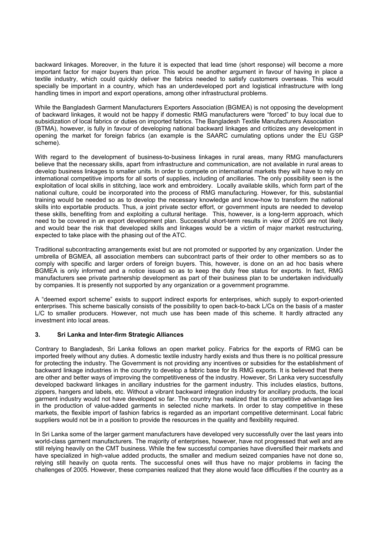backward linkages. Moreover, in the future it is expected that lead time (short response) will become a more important factor for major buyers than price. This would be another argument in favour of having in place a textile industry, which could quickly deliver the fabrics needed to satisfy customers overseas. This would specially be important in a country, which has an underdeveloped port and logistical infrastructure with long handling times in import and export operations, among other infrastructural problems.

While the Bangladesh Garment Manufacturers Exporters Association (BGMEA) is not opposing the development of backward linkages, it would not be happy if domestic RMG manufacturers were "forced" to buy local due to subsidization of local fabrics or duties on imported fabrics. The Bangladesh Textile Manufacturers Association (BTMA), however, is fully in favour of developing national backward linkages and criticizes any development in opening the market for foreign fabrics (an example is the SAARC cumulating options under the EU GSP scheme).

With regard to the development of business-to-business linkages in rural areas, many RMG manufacturers believe that the necessary skills, apart from infrastructure and communication, are not available in rural areas to develop business linkages to smaller units. In order to compete on international markets they will have to rely on international competitive imports for all sorts of supplies, including of ancillaries. The only possibility seen is the exploitation of local skills in stitching, lace work and embroidery. Locally available skills, which form part of the national culture, could be incorporated into the process of RMG manufacturing. However, for this, substantial training would be needed so as to develop the necessary knowledge and know-how to transform the national skills into exportable products. Thus, a joint private sector effort, or government inputs are needed to develop these skills, benefiting from and exploiting a cultural heritage. This, however, is a long-term approach, which need to be covered in an export development plan. Successful short-term results in view of 2005 are not likely and would bear the risk that developed skills and linkages would be a victim of major market restructuring, expected to take place with the phasing out of the ATC.

Traditional subcontracting arrangements exist but are not promoted or supported by any organization. Under the umbrella of BGMEA, all association members can subcontract parts of their order to other members so as to comply with specific and larger orders of foreign buyers. This, however, is done on an ad hoc basis where BGMEA is only informed and a notice issued so as to keep the duty free status for exports. In fact, RMG manufacturers see private partnership development as part of their business plan to be undertaken individually by companies. It is presently not supported by any organization or a government programme.

A "deemed export scheme" exists to support indirect exports for enterprises, which supply to export-oriented enterprises. This scheme basically consists of the possibility to open back-to-back L/Cs on the basis of a master L/C to smaller producers. However, not much use has been made of this scheme. It hardly attracted any investment into local areas.

#### **3. Sri Lanka and Inter-firm Strategic Alliances**

Contrary to Bangladesh, Sri Lanka follows an open market policy. Fabrics for the exports of RMG can be imported freely without any duties. A domestic textile industry hardly exists and thus there is no political pressure for protecting the industry. The Government is not providing any incentives or subsidies for the establishment of backward linkage industries in the country to develop a fabric base for its RMG exports. It is believed that there are other and better ways of improving the competitiveness of the industry. However, Sri Lanka very successfully developed backward linkages in ancillary industries for the garment industry. This includes elastics, buttons, zippers, hangers and labels, etc. Without a vibrant backward integration industry for ancillary products, the local garment industry would not have developed so far. The country has realized that its competitive advantage lies in the production of value-added garments in selected niche markets. In order to stay competitive in these markets, the flexible import of fashion fabrics is regarded as an important competitive determinant. Local fabric suppliers would not be in a position to provide the resources in the quality and flexibility required.

In Sri Lanka some of the larger garment manufacturers have developed very successfully over the last years into world-class garment manufacturers. The majority of enterprises, however, have not progressed that well and are still relying heavily on the CMT business. While the few successful companies have diversified their markets and have specialized in high-value added products, the smaller and medium seized companies have not done so, relying still heavily on quota rents. The successful ones will thus have no major problems in facing the challenges of 2005. However, these companies realized that they alone would face difficulties if the country as a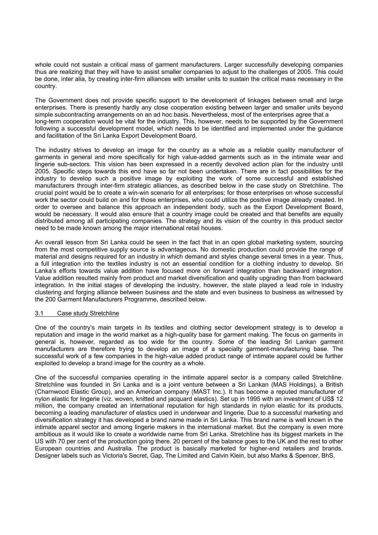whole could not sustain a critical mass of garment manufacturers. Larger successfully developing companies thus are realizing that they will have to assist smaller companies to adjust to the challenges of 2005. This could be done, inter alia, by creating inter-firm alliances with smaller units to sustain the critical mass necessary in the country.

The Government does not provide specific support to the development of linkages between small and large enterprises. There is presently hardly any close cooperation existing between larger and smaller units beyond simple subcontracting arrangements on an ad hoc basis. Nevertheless, most of the enterprises agree that a long-term cooperation would be vital for the industry. This, however, needs to be supported by the Government following a successful development model, which needs to be identified and implemented under the guidance and facilitation of the Sri Lanka Export Development Board.

The industry strives to develop an image for the country as a whole as a reliable quality manufacturer of garments in general and more specifically for high value-added garments such as in the intimate wear and lingerie sub-sectors. This vision has been expressed in a recently devolved action plan for the industry until 2005. Specific steps towards this end have so far not been undertaken. There are in fact possibilities for the industry to develop such a positive image by exploiting the work of some successful and established manufacturers through inter-firm strategic alliances, as described below in the case study on Stretchline. The crucial point would be to create a win-win scenario for all enterprises; for those enterprises on whose successful work the sector could build on and for those enterprises, who could utilize the positive image already created. In order to oversee and balance this approach an independent body, such as the Export Development Board, would be necessary. It would also ensure that a country image could be created and that benefits are equally distributed among all participating companies. The strategy and its vision of the country in this product sector need to be made known among the major international retail houses.

An overall lesson from Sri Lanka could be seen in the fact that in an open global marketing system, sourcing from the most competitive supply source is advantageous. No domestic production could provide the range of material and designs required for an industry in which demand and styles change several times in a year. Thus, a full integration into the textiles industry is not an essential condition for a clothing industry to develop. Sri Lanka's efforts towards value addition have focused more on forward integration than backward integration. Value addition resulted mainly from product and market diversification and quality upgrading than from backward integration. In the initial stages of developing the industry, however, the state played a lead role in industry clustering and forging alliance between business and the state and even business to business as witnessed by the 200 Garment Manufacturers Programme, described below.

#### 3.1 Case study Stretchline

One of the country's main targets in its textiles and clothing sector development strategy is to develop a reputation and image in the world market as a high-quality base for garment making. The focus on garments in general is, however, regarded as too wide for the country. Some of the leading Sri Lankan garment manufacturers are therefore trying to develop an image of a specialty garment-manufacturing base. The successful work of a few companies in the high-value added product range of intimate apparel could be further exploited to develop a brand image for the country as a whole.

One of the successful companies operating in the intimate apparel sector is a company called Stretchline. Stretchline was founded in Sri Lanka and is a joint venture between a Sri Lankan (MAS Holdings), a British (Charnwood Elastic Group), and an American company (MAST Inc.). It has become a reputed manufacturer of nylon elastic for lingerie (viz. woven, knitted and jacquard elastics). Set up in 1995 with an investment of US\$ 12 million, the company created an international reputation for high standards in nylon elastic for its products, becoming a leading manufacturer of elastics used in underwear and lingerie. Due to a successful marketing and diversification strategy it has developed a brand name made in Sri Lanka. This brand name is well known in the intimate apparel sector and among lingerie makers in the international market. But the company is even more ambitious as it would like to create a worldwide name from Sri Lanka. Stretchline has its biggest markets in the US with 70 per cent of the production going there. 20 percent of the balance goes to the UK and the rest to other European countries and Australia. The product is basically marketed for higher-end retailers and brands. Designer labels such as Victoria's Secret, Gap, The Limited and Calvin Klein, but also Marks & Spencer, BhS,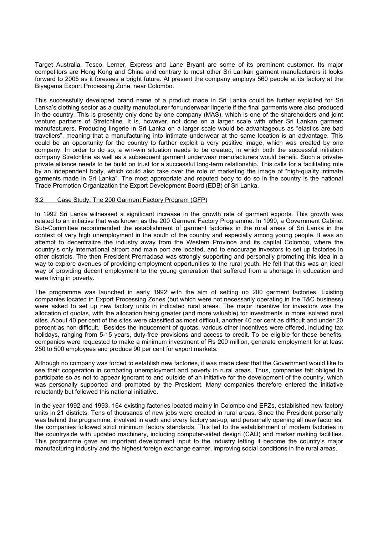Target Australia, Tesco, Lerner, Express and Lane Bryant are some of its prominent customer. Its major competitors are Hong Kong and China and contrary to most other Sri Lankan garment manufacturers it looks forward to 2005 as it foresees a bright future. At present the company employs 560 people at its factory at the Biyagama Export Processing Zone, near Colombo.

This successfully developed brand name of a product made in Sri Lanka could be further exploited for Sri Lanka's clothing sector as a quality manufacturer for underwear lingerie if the final garments were also produced in the country. This is presently only done by one company (MAS), which is one of the shareholders and joint venture partners of Stretchline. It is, however, not done on a larger scale with other Sri Lankan garment manufacturers. Producing lingerie in Sri Lanka on a larger scale would be advantageous as "elastics are bad travellers", meaning that a manufacturing into intimate underwear at the same location is an advantage. This could be an opportunity for the country to further exploit a very positive image, which was created by one company. In order to do so, a win-win situation needs to be created, in which both the successful initiation company Stretchline as well as a subsequent garment underwear manufacturers would benefit. Such a privateprivate alliance needs to be build on trust for a successful long-term relationship. This calls for a facilitating role by an independent body, which could also take over the role of marketing the image of "high-quality intimate garments made in Sri Lanka". The most appropriate and reputed body to do so in the country is the national Trade Promotion Organization the Export Development Board (EDB) of Sri Lanka.

#### 3.2 Case Study: The 200 Garment Factory Program (GFP)

In 1992 Sri Lanka witnessed a significant increase in the growth rate of garment exports. This growth was related to an initiative that was known as the 200 Garment Factory Programme. In 1990, a Government Cabinet Sub-Committee recommended the establishment of garment factories in the rural areas of Sri Lanka in the context of very high unemployment in the south of the country and especially among young people. It was an attempt to decentralize the industry away from the Western Province and its capital Colombo, where the country's only international airport and main port are located, and to encourage investors to set up factories in other districts. The then President Premadasa was strongly supporting and personally promoting this idea in a way to explore avenues of providing employment opportunities to the rural youth. He felt that this was an ideal way of providing decent employment to the young generation that suffered from a shortage in education and were living in poverty.

The programme was launched in early 1992 with the aim of setting up 200 garment factories. Existing companies located in Export Processing Zones (but which were not necessarily operating in the T&C business) were asked to set up new factory units in indicated rural areas. The major incentive for investors was the allocation of quotas, with the allocation being greater (and more valuable) for investments in more isolated rural sites. About 40 per cent of the sites were classified as most difficult, another 40 per cent as difficult and under 20 percent as non-difficult. Besides the inducement of quotas, various other incentives were offered, including tax holidays, ranging from 5-15 years, duty-free provisions and access to credit. To be eligible for these benefits, companies were requested to make a minimum investment of Rs 200 million, generate employment for at least 250 to 500 employees and produce 90 per cent for export markets.

Although no company was forced to establish new factories, it was made clear that the Government would like to see their cooperation in combating unemployment and poverty in rural areas. Thus, companies felt obliged to participate so as not to appear ignorant to and outside of an initiative for the development of the country, which was personally supported and promoted by the President. Many companies therefore entered the initiative reluctantly but followed this national initiative.

In the year 1992 and 1993, 164 existing factories located mainly in Colombo and EPZs, established new factory units in 21 districts. Tens of thousands of new jobs were created in rural areas. Since the President personally was behind the programme, involved in each and every factory set-up, and personally opening all new factories, the companies followed strict minimum factory standards. This led to the establishment of modern factories in the countryside with updated machinery, including computer-aided design (CAD) and marker making facilities. This programme gave an important development input to the industry letting it become the country's major manufacturing industry and the highest foreign exchange earner, improving social conditions in the rural areas.